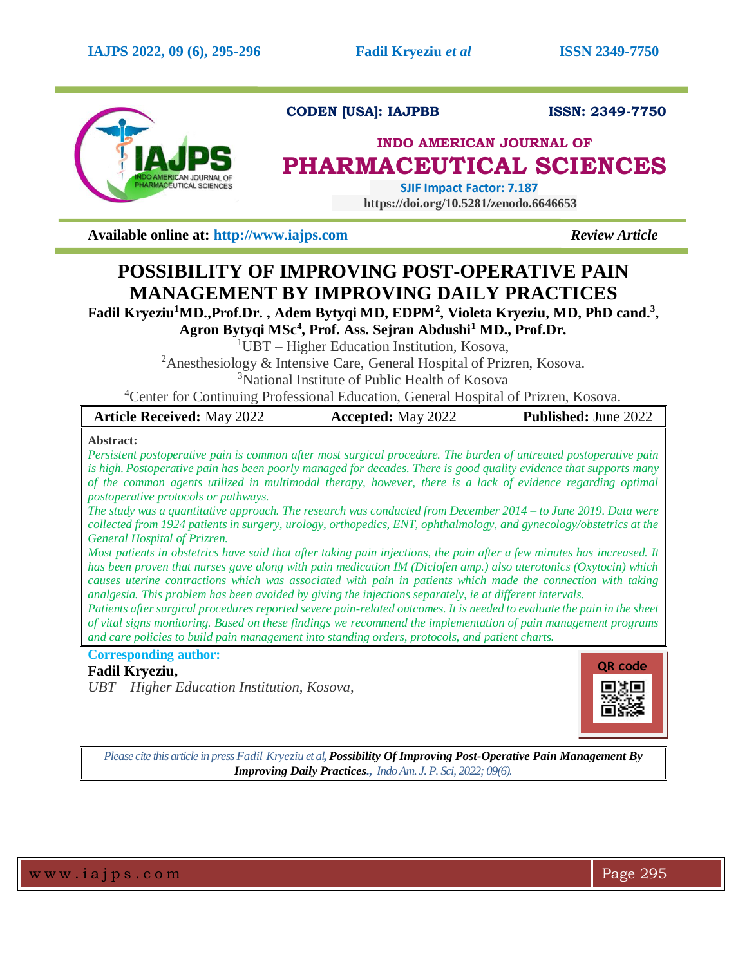

**CODEN [USA]: IAJPBB ISSN: 2349-7750** 

## **INDO AMERICAN JOURNAL OF PHARMACEUTICAL SCIENCES**

 **SJIF Impact Factor: 7.187 https://doi.org/10.5281/zenodo.6646653**

**Available online at: [http://www.iajps.com](http://www.iajps.com/)** *Review Article*

# **POSSIBILITY OF IMPROVING POST-OPERATIVE PAIN MANAGEMENT BY IMPROVING DAILY PRACTICES**

**Fadil Kryeziu<sup>1</sup>MD.,Prof.Dr. , Adem Bytyqi MD, EDPM<sup>2</sup> , Violeta Kryeziu, MD, PhD cand.<sup>3</sup> ,** 

**Agron Bytyqi MSc<sup>4</sup> , Prof. Ass. Sejran Abdushi<sup>1</sup> MD., Prof.Dr.**

 $1$ UBT – Higher Education Institution, Kosova,

<sup>2</sup>Anesthesiology & Intensive Care, General Hospital of Prizren, Kosova.

<sup>3</sup>National Institute of Public Health of Kosova

<sup>4</sup>Center for Continuing Professional Education, General Hospital of Prizren, Kosova.

| <b>Article Received: May 2022</b>                                                                                                                                                                                                                                                                                                                                                                                                                                                                                                                                                                                                                                                                                                                                                                                      | <b>Accepted:</b> May 2022 | Published: June 2022 |
|------------------------------------------------------------------------------------------------------------------------------------------------------------------------------------------------------------------------------------------------------------------------------------------------------------------------------------------------------------------------------------------------------------------------------------------------------------------------------------------------------------------------------------------------------------------------------------------------------------------------------------------------------------------------------------------------------------------------------------------------------------------------------------------------------------------------|---------------------------|----------------------|
| Abstract:<br>Persistent postoperative pain is common after most surgical procedure. The burden of untreated postoperative pain<br>is high. Postoperative pain has been poorly managed for decades. There is good quality evidence that supports many<br>of the common agents utilized in multimodal therapy, however, there is a lack of evidence regarding optimal<br><i>postoperative protocols or pathways.</i><br>The study was a quantitative approach. The research was conducted from December 2014 – to June 2019. Data were<br>collected from 1924 patients in surgery, urology, orthopedics, ENT, ophthalmology, and gynecology/obstetrics at the<br>General Hospital of Prizren.<br>Most patients in obstetrics have said that after taking pain injections, the pain after a few minutes has increased. It |                           |                      |
| has been proven that nurses gave along with pain medication IM (Diclofen amp.) also uterotonics (Oxytocin) which<br>causes uterine contractions which was associated with pain in patients which made the connection with taking<br>analgesia. This problem has been avoided by giving the injections separately, ie at different intervals.                                                                                                                                                                                                                                                                                                                                                                                                                                                                           |                           |                      |
| Patients after surgical procedures reported severe pain-related outcomes. It is needed to evaluate the pain in the sheet<br>of vital signs monitoring. Based on these findings we recommend the implementation of pain management programs<br>and care policies to build pain management into standing orders, protocols, and patient charts.                                                                                                                                                                                                                                                                                                                                                                                                                                                                          |                           |                      |
| <b>Corresponding author:</b>                                                                                                                                                                                                                                                                                                                                                                                                                                                                                                                                                                                                                                                                                                                                                                                           |                           |                      |

### **Fadil Kryeziu,**

*UBT – Higher Education Institution, Kosova,*



*Please cite this article in pressFadil Kryeziu et al, Possibility Of Improving Post-Operative Pain Management By Improving Daily Practices., Indo Am. J. P. Sci, 2022; 09(6).*